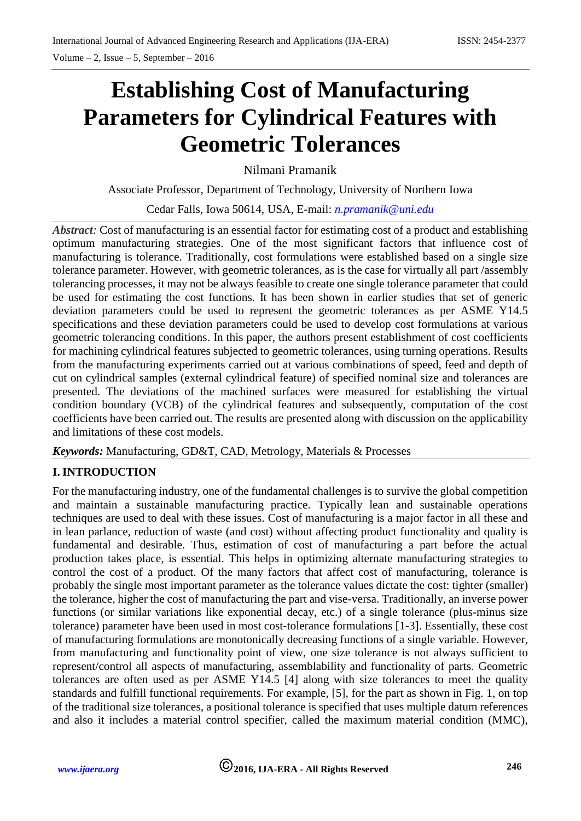# **Establishing Cost of Manufacturing Parameters for Cylindrical Features with Geometric Tolerances**

Nilmani Pramanik

Associate Professor, Department of Technology, University of Northern Iowa

Cedar Falls, Iowa 50614, USA, E-mail: *[n.pramanik@uni.edu](mailto:n.pramanik@uni.edu)*

*Abstract*: Cost of manufacturing is an essential factor for estimating cost of a product and establishing optimum manufacturing strategies. One of the most significant factors that influence cost of manufacturing is tolerance. Traditionally, cost formulations were established based on a single size tolerance parameter. However, with geometric tolerances, as is the case for virtually all part /assembly tolerancing processes, it may not be always feasible to create one single tolerance parameter that could be used for estimating the cost functions. It has been shown in earlier studies that set of generic deviation parameters could be used to represent the geometric tolerances as per ASME Y14.5 specifications and these deviation parameters could be used to develop cost formulations at various geometric tolerancing conditions. In this paper, the authors present establishment of cost coefficients for machining cylindrical features subjected to geometric tolerances, using turning operations. Results from the manufacturing experiments carried out at various combinations of speed, feed and depth of cut on cylindrical samples (external cylindrical feature) of specified nominal size and tolerances are presented. The deviations of the machined surfaces were measured for establishing the virtual condition boundary (VCB) of the cylindrical features and subsequently, computation of the cost coefficients have been carried out. The results are presented along with discussion on the applicability and limitations of these cost models.

*Keywords:* Manufacturing, GD&T, CAD, Metrology, Materials & Processes

## **I. INTRODUCTION**

For the manufacturing industry, one of the fundamental challenges is to survive the global competition and maintain a sustainable manufacturing practice. Typically lean and sustainable operations techniques are used to deal with these issues. Cost of manufacturing is a major factor in all these and in lean parlance, reduction of waste (and cost) without affecting product functionality and quality is fundamental and desirable. Thus, estimation of cost of manufacturing a part before the actual production takes place, is essential. This helps in optimizing alternate manufacturing strategies to control the cost of a product. Of the many factors that affect cost of manufacturing, tolerance is probably the single most important parameter as the tolerance values dictate the cost: tighter (smaller) the tolerance, higher the cost of manufacturing the part and vise-versa. Traditionally, an inverse power functions (or similar variations like exponential decay, etc.) of a single tolerance (plus-minus size tolerance) parameter have been used in most cost-tolerance formulations [1-3]. Essentially, these cost of manufacturing formulations are monotonically decreasing functions of a single variable. However, from manufacturing and functionality point of view, one size tolerance is not always sufficient to represent/control all aspects of manufacturing, assemblability and functionality of parts. Geometric tolerances are often used as per ASME Y14.5 [4] along with size tolerances to meet the quality standards and fulfill functional requirements. For example, [5], for the part as shown in Fig. 1, on top of the traditional size tolerances, a positional tolerance is specified that uses multiple datum references and also it includes a material control specifier, called the maximum material condition (MMC),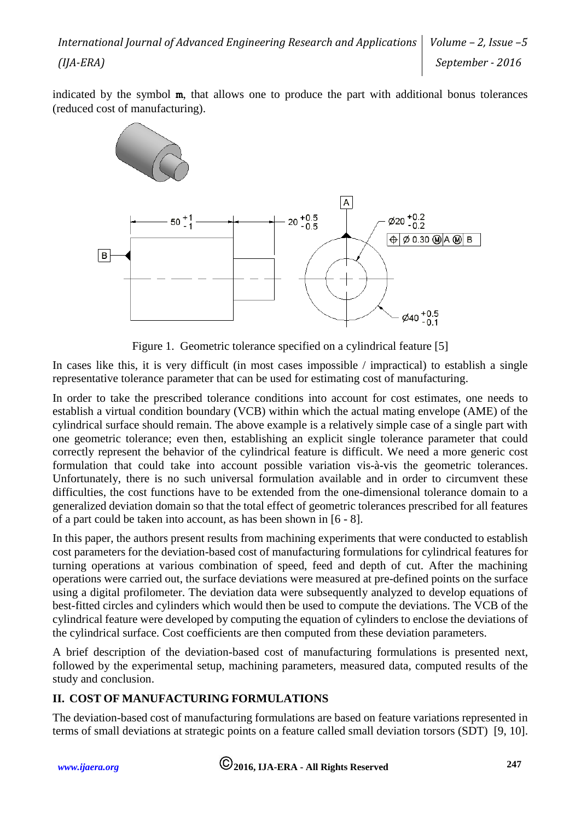indicated by the symbol **m**, that allows one to produce the part with additional bonus tolerances (reduced cost of manufacturing).



Figure 1. Geometric tolerance specified on a cylindrical feature [5]

In cases like this, it is very difficult (in most cases impossible / impractical) to establish a single representative tolerance parameter that can be used for estimating cost of manufacturing.

In order to take the prescribed tolerance conditions into account for cost estimates, one needs to establish a virtual condition boundary (VCB) within which the actual mating envelope (AME) of the cylindrical surface should remain. The above example is a relatively simple case of a single part with one geometric tolerance; even then, establishing an explicit single tolerance parameter that could correctly represent the behavior of the cylindrical feature is difficult. We need a more generic cost formulation that could take into account possible variation vis-à-vis the geometric tolerances. Unfortunately, there is no such universal formulation available and in order to circumvent these difficulties, the cost functions have to be extended from the one-dimensional tolerance domain to a generalized deviation domain so that the total effect of geometric tolerances prescribed for all features of a part could be taken into account, as has been shown in [6 - 8].

In this paper, the authors present results from machining experiments that were conducted to establish cost parameters for the deviation-based cost of manufacturing formulations for cylindrical features for turning operations at various combination of speed, feed and depth of cut. After the machining operations were carried out, the surface deviations were measured at pre-defined points on the surface using a digital profilometer. The deviation data were subsequently analyzed to develop equations of best-fitted circles and cylinders which would then be used to compute the deviations. The VCB of the cylindrical feature were developed by computing the equation of cylinders to enclose the deviations of the cylindrical surface. Cost coefficients are then computed from these deviation parameters.

A brief description of the deviation-based cost of manufacturing formulations is presented next, followed by the experimental setup, machining parameters, measured data, computed results of the study and conclusion.

# **II. COST OF MANUFACTURING FORMULATIONS**

The deviation-based cost of manufacturing formulations are based on feature variations represented in terms of small deviations at strategic points on a feature called small deviation torsors (SDT) [9, 10].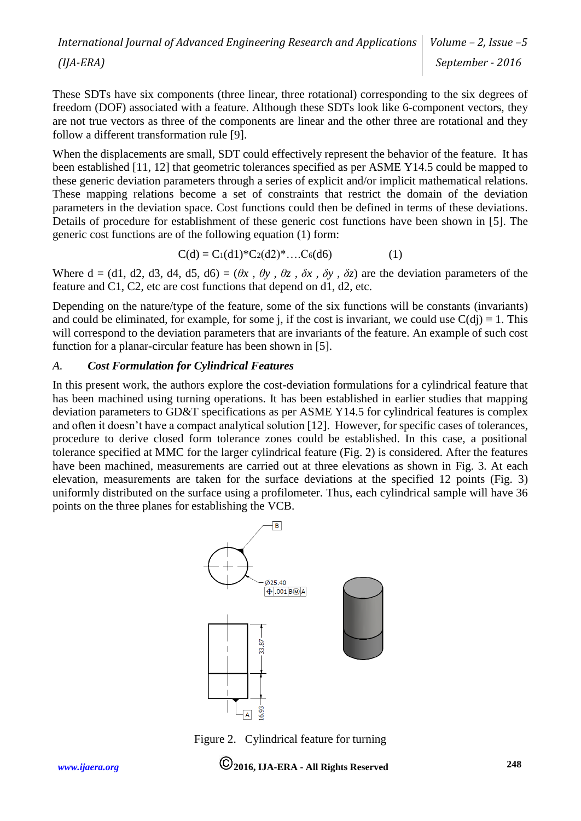These SDTs have six components (three linear, three rotational) corresponding to the six degrees of freedom (DOF) associated with a feature. Although these SDTs look like 6-component vectors, they are not true vectors as three of the components are linear and the other three are rotational and they follow a different transformation rule [9].

When the displacements are small, SDT could effectively represent the behavior of the feature. It has been established [11, 12] that geometric tolerances specified as per ASME Y14.5 could be mapped to these generic deviation parameters through a series of explicit and/or implicit mathematical relations. These mapping relations become a set of constraints that restrict the domain of the deviation parameters in the deviation space. Cost functions could then be defined in terms of these deviations. Details of procedure for establishment of these generic cost functions have been shown in [5]. The generic cost functions are of the following equation (1) form:

$$
C(d) = C_1(d1)^* C_2(d2)^* \dots C_6(d6)
$$
 (1)

Where  $d = (d1, d2, d3, d4, d5, d6) = (\theta x, \theta y, \theta z, \delta x, \delta y, \delta z)$  are the deviation parameters of the feature and C1, C2, etc are cost functions that depend on d1, d2, etc.

Depending on the nature/type of the feature, some of the six functions will be constants (invariants) and could be eliminated, for example, for some j, if the cost is invariant, we could use  $C(d) \equiv 1$ . This will correspond to the deviation parameters that are invariants of the feature. An example of such cost function for a planar-circular feature has been shown in [5].

#### *A. Cost Formulation for Cylindrical Features*

In this present work, the authors explore the cost-deviation formulations for a cylindrical feature that has been machined using turning operations. It has been established in earlier studies that mapping deviation parameters to GD&T specifications as per ASME Y14.5 for cylindrical features is complex and often it doesn't have a compact analytical solution [12]. However, for specific cases of tolerances, procedure to derive closed form tolerance zones could be established. In this case, a positional tolerance specified at MMC for the larger cylindrical feature (Fig. 2) is considered. After the features have been machined, measurements are carried out at three elevations as shown in Fig. 3. At each elevation, measurements are taken for the surface deviations at the specified 12 points (Fig. 3) uniformly distributed on the surface using a profilometer. Thus, each cylindrical sample will have 36 points on the three planes for establishing the VCB.



Figure 2. Cylindrical feature for turning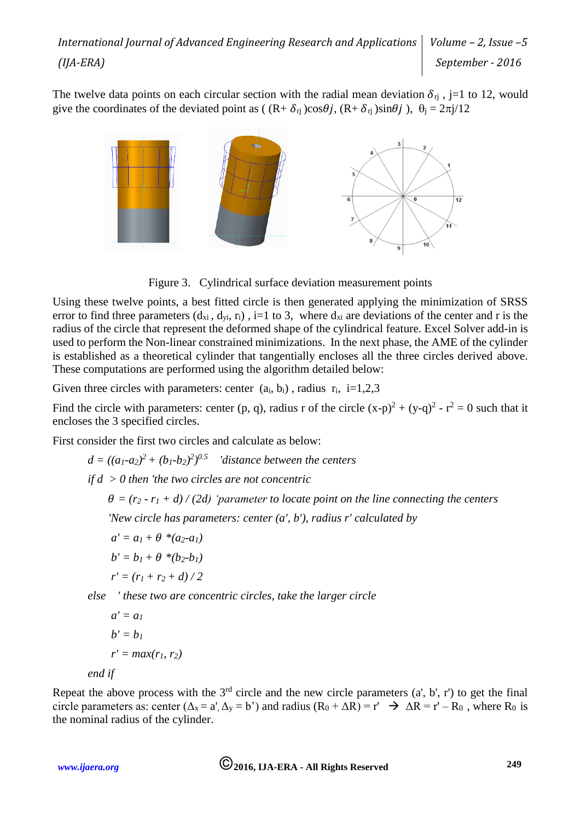The twelve data points on each circular section with the radial mean deviation  $\delta_{ri}$ , j=1 to 12, would give the coordinates of the deviated point as ( $(R+\delta_{ri})\cos\theta j$ ,  $(R+\delta_{ri})\sin\theta j$ ),  $\theta_i = 2\pi j/12$ 



Figure 3. Cylindrical surface deviation measurement points

Using these twelve points, a best fitted circle is then generated applying the minimization of SRSS error to find three parameters  $(d_{xi}, d_{yi}, r_i)$ , i=1 to 3, where  $d_{xi}$  are deviations of the center and r is the radius of the circle that represent the deformed shape of the cylindrical feature. Excel Solver add-in is used to perform the Non-linear constrained minimizations. In the next phase, the AME of the cylinder is established as a theoretical cylinder that tangentially encloses all the three circles derived above. These computations are performed using the algorithm detailed below:

Given three circles with parameters: center  $(a_i, b_i)$ , radius  $r_i$ , i=1,2,3

Find the circle with parameters: center (p, q), radius r of the circle  $(x-p)^2 + (y-q)^2 - r^2 = 0$  such that it encloses the 3 specified circles.

First consider the first two circles and calculate as below:

 $d = ((a_1-a_2)^2 + (b_1-b_2)^2)^{0.5}$  *'distance between the centers* 

*if d > 0 then 'the two circles are not concentric*

 $\theta = (r_2 - r_1 + d) / (2d)$  'parameter to locate point on the line connecting the centers  *'New circle has parameters: center (a', b'), radius r' calculated by*

 $a' = a_1 + \theta * (a_2-a_1)$ 

$$
b' = b_1 + \theta * (b_2 - b_1)
$$

$$
r' = (r_1 + r_2 + d)/2
$$

*else ' these two are concentric circles, take the larger circle*

$$
a' = a_1
$$
  
\n
$$
b' = b_1
$$
  
\n
$$
r' = max(r_1, r_2)
$$
  
\n
$$
end if
$$

Repeat the above process with the  $3<sup>rd</sup>$  circle and the new circle parameters  $(a, b', r')$  to get the final circle parameters as: center  $(\Delta_x = a' \Delta_y = b')$  and radius  $(R_0 + \Delta R) = r' \implies \Delta R = r' - R_0$ , where  $R_0$  is the nominal radius of the cylinder.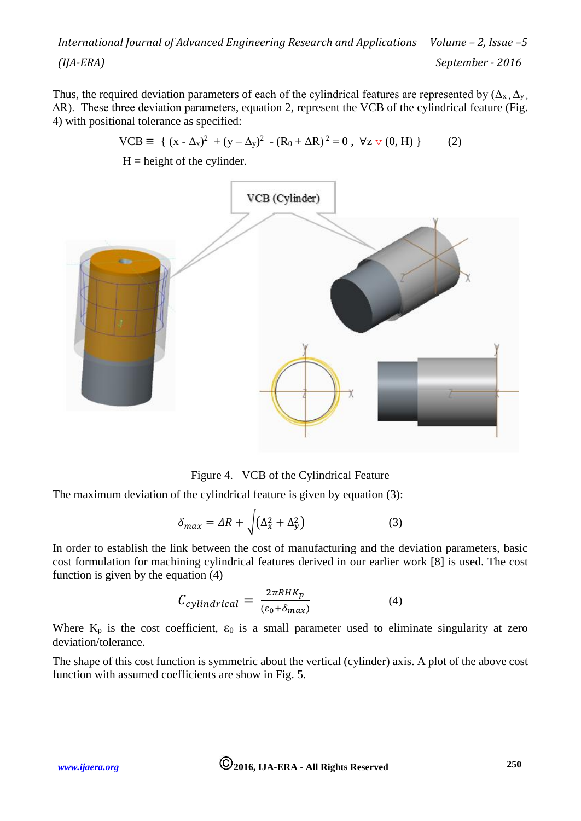Thus, the required deviation parameters of each of the cylindrical features are represented by  $(\Delta_{x}, \Delta_{y})$ . ΔR). These three deviation parameters, equation 2, represent the VCB of the cylindrical feature (Fig. 4) with positional tolerance as specified:

$$
VCB \equiv \{ (x - \Delta_x)^2 + (y - \Delta_y)^2 - (R_0 + \Delta R)^2 = 0, \forall z \vee (0, H) \}
$$
 (2)

 $H =$  height of the cylinder.



Figure 4. VCB of the Cylindrical Feature

The maximum deviation of the cylindrical feature is given by equation (3):

$$
\delta_{max} = \Delta R + \sqrt{\left(\Delta_x^2 + \Delta_y^2\right)}\tag{3}
$$

In order to establish the link between the cost of manufacturing and the deviation parameters, basic cost formulation for machining cylindrical features derived in our earlier work [8] is used. The cost function is given by the equation (4)

$$
C_{cylindrical} = \frac{2\pi RHK_p}{(\varepsilon_0 + \delta_{max})}
$$
(4)

Where  $K_p$  is the cost coefficient,  $\varepsilon_0$  is a small parameter used to eliminate singularity at zero deviation/tolerance.

The shape of this cost function is symmetric about the vertical (cylinder) axis. A plot of the above cost function with assumed coefficients are show in Fig. 5.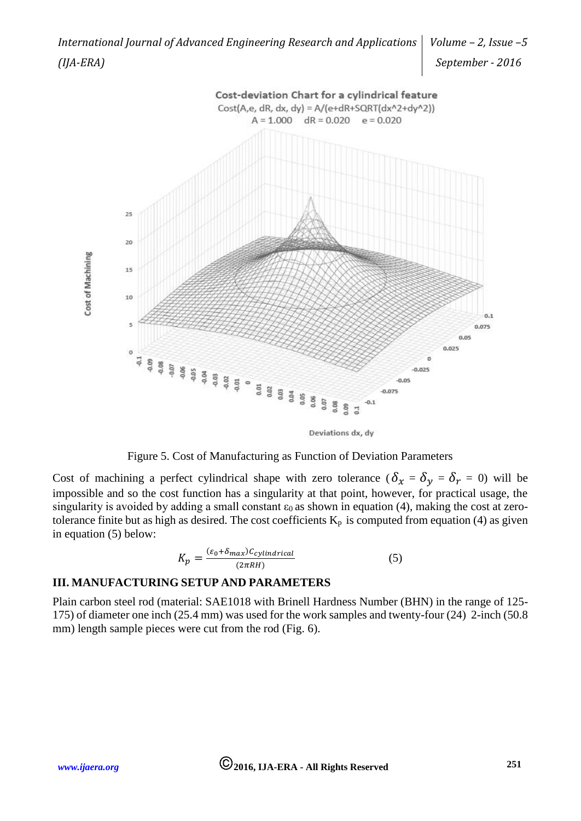

Deviations dx, dy



Cost of machining a perfect cylindrical shape with zero tolerance ( $\delta_x = \delta_y = \delta_r = 0$ ) will be impossible and so the cost function has a singularity at that point, however, for practical usage, the singularity is avoided by adding a small constant  $\varepsilon_0$  as shown in equation (4), making the cost at zerotolerance finite but as high as desired. The cost coefficients  $K_p$  is computed from equation (4) as given in equation (5) below:

$$
K_p = \frac{(\varepsilon_0 + \delta_{max})C_{cylindrical}}{(2\pi RH)}
$$
(5)

#### **III. MANUFACTURING SETUP AND PARAMETERS**

Plain carbon steel rod (material: SAE1018 with Brinell Hardness Number (BHN) in the range of 125- 175) of diameter one inch (25.4 mm) was used for the work samples and twenty-four (24) 2-inch (50.8 mm) length sample pieces were cut from the rod (Fig. 6).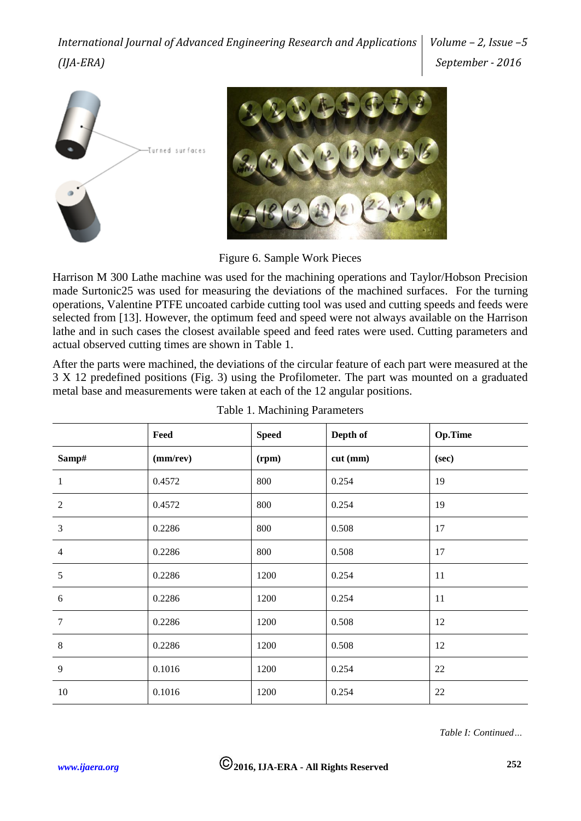



Figure 6. Sample Work Pieces

Harrison M 300 Lathe machine was used for the machining operations and Taylor/Hobson Precision made Surtonic25 was used for measuring the deviations of the machined surfaces. For the turning operations, Valentine PTFE uncoated carbide cutting tool was used and cutting speeds and feeds were selected from [13]. However, the optimum feed and speed were not always available on the Harrison lathe and in such cases the closest available speed and feed rates were used. Cutting parameters and actual observed cutting times are shown in Table 1.

After the parts were machined, the deviations of the circular feature of each part were measured at the 3 X 12 predefined positions (Fig. 3) using the Profilometer. The part was mounted on a graduated metal base and measurements were taken at each of the 12 angular positions.

|                | Feed     | <b>Speed</b> | Depth of | Op.Time |
|----------------|----------|--------------|----------|---------|
| Samp#          | (mm/rev) | (rpm)        | cut (mm) | (sec)   |
| -1             | 0.4572   | 800          | 0.254    | 19      |
| $\overline{2}$ | 0.4572   | 800          | 0.254    | 19      |
| $\overline{3}$ | 0.2286   | 800          | 0.508    | 17      |
| $\overline{4}$ | 0.2286   | 800          | 0.508    | 17      |
| 5              | 0.2286   | 1200         | 0.254    | 11      |
| 6              | 0.2286   | 1200         | 0.254    | 11      |
| $\overline{7}$ | 0.2286   | 1200         | 0.508    | 12      |
| 8              | 0.2286   | 1200         | 0.508    | 12      |
| 9              | 0.1016   | 1200         | 0.254    | 22      |
| 10             | 0.1016   | 1200         | 0.254    | 22      |

|  |  |  |  | Table 1. Machining Parameters |
|--|--|--|--|-------------------------------|
|--|--|--|--|-------------------------------|

*Table I: Continued…*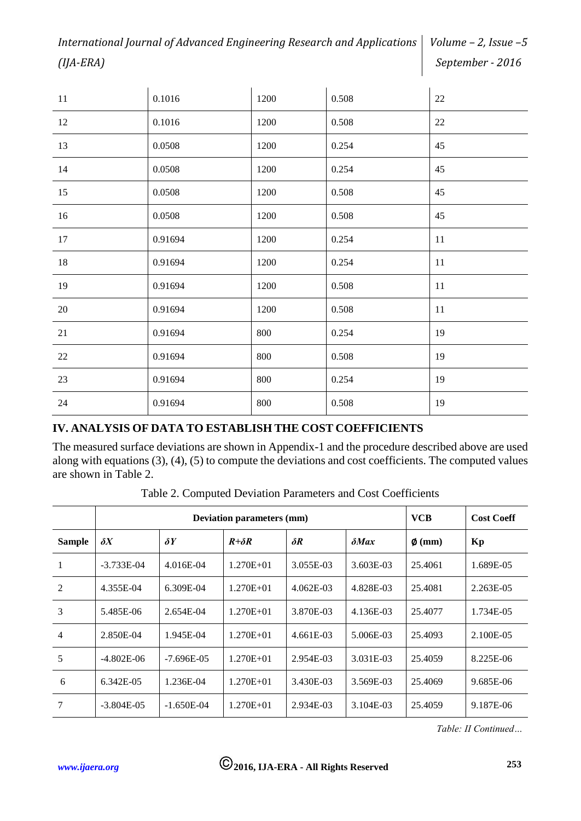| 11     | 0.1016  | 1200 | 0.508 | 22 |
|--------|---------|------|-------|----|
| 12     | 0.1016  | 1200 | 0.508 | 22 |
| 13     | 0.0508  | 1200 | 0.254 | 45 |
| 14     | 0.0508  | 1200 | 0.254 | 45 |
| 15     | 0.0508  | 1200 | 0.508 | 45 |
| 16     | 0.0508  | 1200 | 0.508 | 45 |
| 17     | 0.91694 | 1200 | 0.254 | 11 |
| 18     | 0.91694 | 1200 | 0.254 | 11 |
| 19     | 0.91694 | 1200 | 0.508 | 11 |
| $20\,$ | 0.91694 | 1200 | 0.508 | 11 |
| 21     | 0.91694 | 800  | 0.254 | 19 |
| 22     | 0.91694 | 800  | 0.508 | 19 |
| 23     | 0.91694 | 800  | 0.254 | 19 |
| $24\,$ | 0.91694 | 800  | 0.508 | 19 |

#### **IV. ANALYSIS OF DATA TO ESTABLISH THE COST COEFFICIENTS**

The measured surface deviations are shown in Appendix-1 and the procedure described above are used along with equations (3), (4), (5) to compute the deviations and cost coefficients. The computed values are shown in Table 2.

Table 2. Computed Deviation Parameters and Cost Coefficients

|                |                          | <b>Deviation parameters (mm)</b> | <b>VCB</b>     | <b>Cost Coeff</b> |                     |             |           |  |
|----------------|--------------------------|----------------------------------|----------------|-------------------|---------------------|-------------|-----------|--|
| <b>Sample</b>  | $\delta Y$<br>$\delta X$ |                                  | $R + \delta R$ | $\delta R$        | $\delta$ <i>Max</i> | $\phi$ (mm) | Kp        |  |
| 1              | $-3.733E-04$             | 4.016E-04                        | $1.270E + 01$  | 3.055E-03         | 3.603E-03           | 25.4061     | 1.689E-05 |  |
| 2              | 4.355E-04                | 6.309E-04                        | $1.270E + 01$  | 4.062E-03         | 4.828E-03           | 25.4081     | 2.263E-05 |  |
| 3              | 5.485E-06                | 2.654E-04                        | $1.270E + 01$  | 3.870E-03         | 4.136E-03           | 25.4077     | 1.734E-05 |  |
| $\overline{4}$ | 2.850E-04                | 1.945E-04                        | $1.270E + 01$  | $4.661E-03$       | 5.006E-03           | 25.4093     | 2.100E-05 |  |
| 5              | $-4.802E-06$             | $-7.696E - 0.5$                  | $1.270E + 01$  | 2.954E-03         | 3.031E-03           | 25.4059     | 8.225E-06 |  |
| 6              | 6.342E-05                | 1.236E-04                        | $1.270E + 01$  | 3.430E-03         | 3.569E-03           | 25.4069     | 9.685E-06 |  |
| 7              | $-3.804E - 05$           | $-1.650E-04$                     | $1.270E + 01$  | 2.934E-03         | 3.104E-03           | 25.4059     | 9.187E-06 |  |

*Table: II Continued…*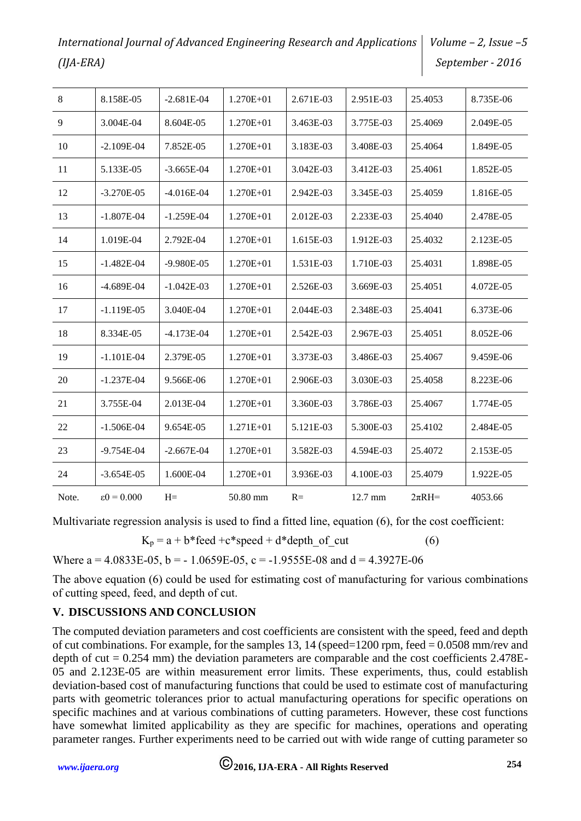| 8              | 8.158E-05               | $-2.681E-04$   | $1.270E + 01$ | 2.671E-03 | 2.951E-03 | 25.4053    | 8.735E-06 |
|----------------|-------------------------|----------------|---------------|-----------|-----------|------------|-----------|
| $\overline{9}$ | 3.004E-04               | 8.604E-05      | $1.270E + 01$ | 3.463E-03 | 3.775E-03 | 25.4069    | 2.049E-05 |
| 10             | $-2.109E-04$            | 7.852E-05      | 1.270E+01     | 3.183E-03 | 3.408E-03 | 25.4064    | 1.849E-05 |
| 11             | 5.133E-05               | $-3.665E-04$   | 1.270E+01     | 3.042E-03 | 3.412E-03 | 25.4061    | 1.852E-05 |
| 12             | $-3.270E-05$            | $-4.016E-04$   | $1.270E + 01$ | 2.942E-03 | 3.345E-03 | 25.4059    | 1.816E-05 |
| 13             | $-1.807E-04$            | $-1.259E-04$   | $1.270E + 01$ | 2.012E-03 | 2.233E-03 | 25.4040    | 2.478E-05 |
| 14             | 1.019E-04               | 2.792E-04      | $1.270E + 01$ | 1.615E-03 | 1.912E-03 | 25.4032    | 2.123E-05 |
| 15             | $-1.482E-04$            | $-9.980E - 05$ | $1.270E + 01$ | 1.531E-03 | 1.710E-03 | 25.4031    | 1.898E-05 |
| 16             | $-4.689E-04$            | $-1.042E-03$   | $1.270E + 01$ | 2.526E-03 | 3.669E-03 | 25.4051    | 4.072E-05 |
| 17             | $-1.119E-05$            | 3.040E-04      | $1.270E + 01$ | 2.044E-03 | 2.348E-03 | 25.4041    | 6.373E-06 |
| 18             | 8.334E-05               | $-4.173E-04$   | 1.270E+01     | 2.542E-03 | 2.967E-03 | 25.4051    | 8.052E-06 |
| 19             | $-1.101E-04$            | 2.379E-05      | $1.270E + 01$ | 3.373E-03 | 3.486E-03 | 25.4067    | 9.459E-06 |
| 20             | $-1.237E-04$            | 9.566E-06      | 1.270E+01     | 2.906E-03 | 3.030E-03 | 25.4058    | 8.223E-06 |
| 21             | 3.755E-04               | 2.013E-04      | $1.270E + 01$ | 3.360E-03 | 3.786E-03 | 25.4067    | 1.774E-05 |
| 22             | $-1.506E-04$            | 9.654E-05      | $1.271E + 01$ | 5.121E-03 | 5.300E-03 | 25.4102    | 2.484E-05 |
| 23             | $-9.754E-04$            | $-2.667E-04$   | $1.270E + 01$ | 3.582E-03 | 4.594E-03 | 25.4072    | 2.153E-05 |
| 24             | $-3.654E-05$            | 1.600E-04      | 1.270E+01     | 3.936E-03 | 4.100E-03 | 25.4079    | 1.922E-05 |
| Note.          | $\varepsilon$ 0 = 0.000 | $H=$           | 50.80 mm      | $R=$      | 12.7 mm   | $2\pi RH=$ | 4053.66   |

Multivariate regression analysis is used to find a fitted line, equation (6), for the cost coefficient:

 $K_p = a + b*feed + c*speed + d*depth of cut$  (6)

Where a =  $4.0833E-05$ , b =  $-1.0659E-05$ , c =  $-1.9555E-08$  and d =  $4.3927E-06$ 

The above equation (6) could be used for estimating cost of manufacturing for various combinations of cutting speed, feed, and depth of cut.

## **V. DISCUSSIONS AND CONCLUSION**

The computed deviation parameters and cost coefficients are consistent with the speed, feed and depth of cut combinations. For example, for the samples 13, 14 (speed=1200 rpm, feed  $= 0.0508$  mm/rev and depth of cut  $= 0.254$  mm) the deviation parameters are comparable and the cost coefficients 2.478E-05 and 2.123E-05 are within measurement error limits. These experiments, thus, could establish deviation-based cost of manufacturing functions that could be used to estimate cost of manufacturing parts with geometric tolerances prior to actual manufacturing operations for specific operations on specific machines and at various combinations of cutting parameters. However, these cost functions have somewhat limited applicability as they are specific for machines, operations and operating parameter ranges. Further experiments need to be carried out with wide range of cutting parameter so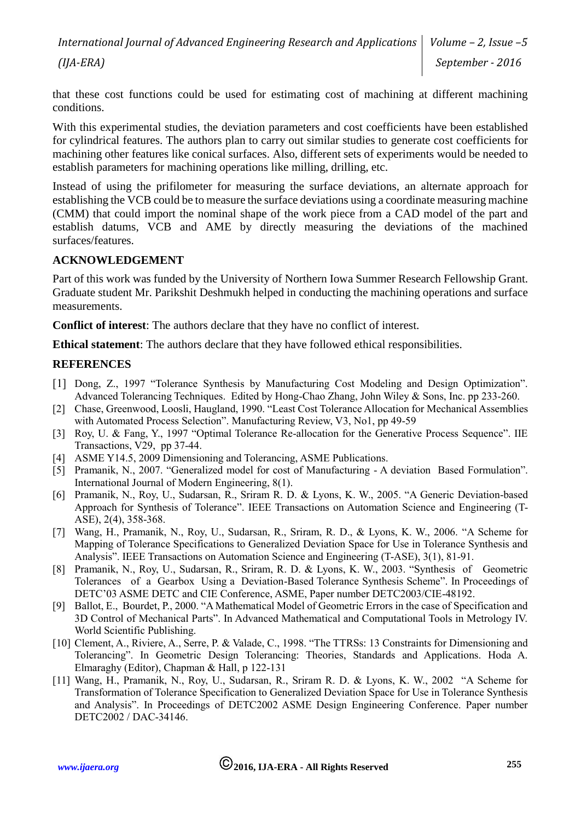that these cost functions could be used for estimating cost of machining at different machining conditions.

With this experimental studies, the deviation parameters and cost coefficients have been established for cylindrical features. The authors plan to carry out similar studies to generate cost coefficients for machining other features like conical surfaces. Also, different sets of experiments would be needed to establish parameters for machining operations like milling, drilling, etc.

Instead of using the prifilometer for measuring the surface deviations, an alternate approach for establishing the VCB could be to measure the surface deviations using a coordinate measuring machine (CMM) that could import the nominal shape of the work piece from a CAD model of the part and establish datums, VCB and AME by directly measuring the deviations of the machined surfaces/features.

#### **ACKNOWLEDGEMENT**

Part of this work was funded by the University of Northern Iowa Summer Research Fellowship Grant. Graduate student Mr. Parikshit Deshmukh helped in conducting the machining operations and surface measurements.

**Conflict of interest**: The authors declare that they have no conflict of interest.

**Ethical statement**: The authors declare that they have followed ethical responsibilities.

#### **REFERENCES**

- [1] Dong, Z., 1997 "Tolerance Synthesis by Manufacturing Cost Modeling and Design Optimization". Advanced Tolerancing Techniques. Edited by Hong-Chao Zhang, John Wiley & Sons, Inc. pp 233-260.
- [2] Chase, Greenwood, Loosli, Haugland, 1990. "Least Cost Tolerance Allocation for Mechanical Assemblies with Automated Process Selection". Manufacturing Review, V3, No1, pp 49-59
- [3] Roy, U. & Fang, Y., 1997 "Optimal Tolerance Re-allocation for the Generative Process Sequence". IIE Transactions, V29, pp 37-44.
- [4] ASME Y14.5, 2009 Dimensioning and Tolerancing, ASME Publications.
- [5] Pramanik, N., 2007. "Generalized model for cost of Manufacturing A deviation Based Formulation". International Journal of Modern Engineering, 8(1).
- [6] Pramanik, N., Roy, U., Sudarsan, R., Sriram R. D. & Lyons, K. W., 2005. "A Generic Deviation-based Approach for Synthesis of Tolerance". IEEE Transactions on Automation Science and Engineering (T-ASE), 2(4), 358-368.
- [7] Wang, H., Pramanik, N., Roy, U., Sudarsan, R., Sriram, R. D., & Lyons, K. W., 2006. "A Scheme for Mapping of Tolerance Specifications to Generalized Deviation Space for Use in Tolerance Synthesis and Analysis". IEEE Transactions on Automation Science and Engineering (T-ASE), 3(1), 81-91.
- [8] Pramanik, N., Roy, U., Sudarsan, R., Sriram, R. D. & Lyons, K. W., 2003. "Synthesis of Geometric Tolerances of a Gearbox Using a Deviation-Based Tolerance Synthesis Scheme". In Proceedings of DETC'03 ASME DETC and CIE Conference, ASME, Paper number DETC2003/CIE-48192.
- [9] Ballot, E., Bourdet, P., 2000. "A Mathematical Model of Geometric Errors in the case of Specification and 3D Control of Mechanical Parts". In Advanced Mathematical and Computational Tools in Metrology IV. World Scientific Publishing.
- [10] Clement, A., Riviere, A., Serre, P. & Valade, C., 1998. "The TTRSs: 13 Constraints for Dimensioning and Tolerancing". In Geometric Design Tolerancing: Theories, Standards and Applications. Hoda A. Elmaraghy (Editor), Chapman & Hall, p 122-131
- [11] Wang, H., Pramanik, N., Roy, U., Sudarsan, R., Sriram R. D. & Lyons, K. W., 2002 "A Scheme for Transformation of Tolerance Specification to Generalized Deviation Space for Use in Tolerance Synthesis and Analysis". In Proceedings of DETC2002 ASME Design Engineering Conference. Paper number DETC2002 / DAC-34146.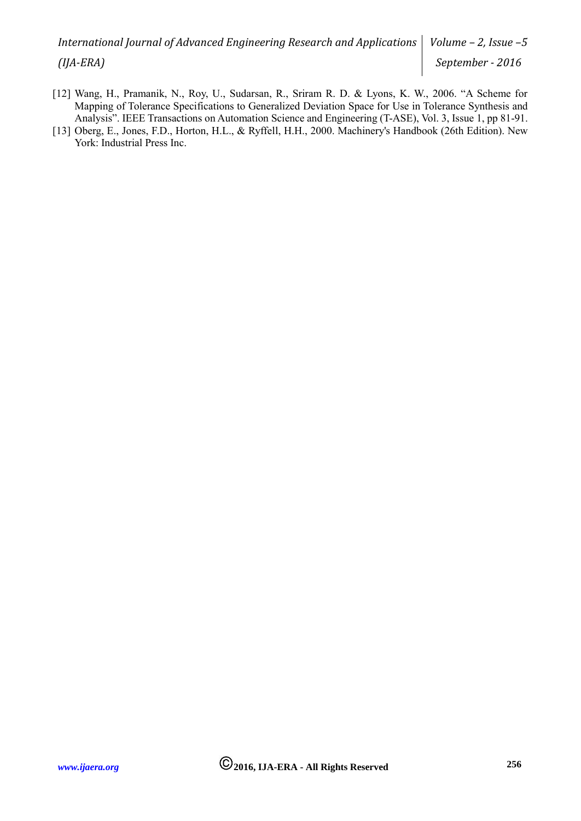- [12] Wang, H., Pramanik, N., Roy, U., Sudarsan, R., Sriram R. D. & Lyons, K. W., 2006. "A Scheme for Mapping of Tolerance Specifications to Generalized Deviation Space for Use in Tolerance Synthesis and Analysis". IEEE Transactions on Automation Science and Engineering (T-ASE), Vol. 3, Issue 1, pp 81-91.
- [13] Oberg, E., Jones, F.D., Horton, H.L., & Ryffell, H.H., 2000. Machinery's Handbook (26th Edition). New York: Industrial Press Inc.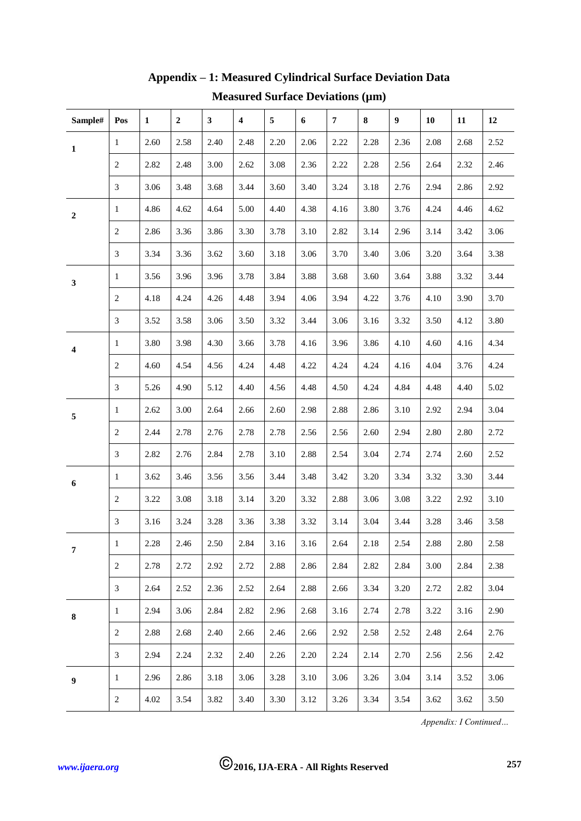| Sample#                 | Pos            | $\mathbf{1}$ | $\boldsymbol{2}$ | $\mathbf{3}$ | $\overline{\mathbf{4}}$ | 5    | 6    | $\overline{7}$ | $\bf8$ | $\boldsymbol{9}$ | 10   | 11   | 12   |
|-------------------------|----------------|--------------|------------------|--------------|-------------------------|------|------|----------------|--------|------------------|------|------|------|
| $\mathbf 1$             | $\mathbf{1}$   | 2.60         | 2.58             | 2.40         | 2.48                    | 2.20 | 2.06 | 2.22           | 2.28   | 2.36             | 2.08 | 2.68 | 2.52 |
|                         | 2              | 2.82         | 2.48             | 3.00         | 2.62                    | 3.08 | 2.36 | 2.22           | 2.28   | 2.56             | 2.64 | 2.32 | 2.46 |
|                         | $\mathfrak{Z}$ | 3.06         | 3.48             | 3.68         | 3.44                    | 3.60 | 3.40 | 3.24           | 3.18   | 2.76             | 2.94 | 2.86 | 2.92 |
| $\boldsymbol{2}$        | $\mathbf{1}$   | 4.86         | 4.62             | 4.64         | 5.00                    | 4.40 | 4.38 | 4.16           | 3.80   | 3.76             | 4.24 | 4.46 | 4.62 |
|                         | $\overline{c}$ | 2.86         | 3.36             | 3.86         | 3.30                    | 3.78 | 3.10 | 2.82           | 3.14   | 2.96             | 3.14 | 3.42 | 3.06 |
|                         | 3              | 3.34         | 3.36             | 3.62         | 3.60                    | 3.18 | 3.06 | 3.70           | 3.40   | 3.06             | 3.20 | 3.64 | 3.38 |
| 3                       | $\mathbf{1}$   | 3.56         | 3.96             | 3.96         | 3.78                    | 3.84 | 3.88 | 3.68           | 3.60   | 3.64             | 3.88 | 3.32 | 3.44 |
|                         | $\overline{c}$ | 4.18         | 4.24             | 4.26         | 4.48                    | 3.94 | 4.06 | 3.94           | 4.22   | 3.76             | 4.10 | 3.90 | 3.70 |
|                         | 3              | 3.52         | 3.58             | 3.06         | 3.50                    | 3.32 | 3.44 | 3.06           | 3.16   | 3.32             | 3.50 | 4.12 | 3.80 |
| $\overline{\mathbf{4}}$ | $\mathbf{1}$   | 3.80         | 3.98             | 4.30         | 3.66                    | 3.78 | 4.16 | 3.96           | 3.86   | 4.10             | 4.60 | 4.16 | 4.34 |
|                         | $\overline{c}$ | 4.60         | 4.54             | 4.56         | 4.24                    | 4.48 | 4.22 | 4.24           | 4.24   | 4.16             | 4.04 | 3.76 | 4.24 |
|                         | 3              | 5.26         | 4.90             | 5.12         | 4.40                    | 4.56 | 4.48 | 4.50           | 4.24   | 4.84             | 4.48 | 4.40 | 5.02 |
| $\sqrt{5}$              | $\mathbf{1}$   | 2.62         | 3.00             | 2.64         | 2.66                    | 2.60 | 2.98 | 2.88           | 2.86   | 3.10             | 2.92 | 2.94 | 3.04 |
|                         | $\sqrt{2}$     | 2.44         | 2.78             | 2.76         | 2.78                    | 2.78 | 2.56 | 2.56           | 2.60   | 2.94             | 2.80 | 2.80 | 2.72 |
|                         | 3              | 2.82         | 2.76             | 2.84         | 2.78                    | 3.10 | 2.88 | 2.54           | 3.04   | 2.74             | 2.74 | 2.60 | 2.52 |
| $\boldsymbol{6}$        | 1              | 3.62         | 3.46             | 3.56         | 3.56                    | 3.44 | 3.48 | 3.42           | 3.20   | 3.34             | 3.32 | 3.30 | 3.44 |
|                         | 2              | 3.22         | 3.08             | 3.18         | 3.14                    | 3.20 | 3.32 | 2.88           | 3.06   | 3.08             | 3.22 | 2.92 | 3.10 |
|                         | 3              | 3.16         | 3.24             | 3.28         | 3.36                    | 3.38 | 3.32 | 3.14           | 3.04   | 3.44             | 3.28 | 3.46 | 3.58 |
| $\overline{7}$          | 1              | 2.28         | 2.46             | 2.50         | 2.84                    | 3.16 | 3.16 | 2.64           | 2.18   | 2.54             | 2.88 | 2.80 | 2.58 |
|                         | $\overline{2}$ | 2.78         | 2.72             | 2.92         | 2.72                    | 2.88 | 2.86 | 2.84           | 2.82   | 2.84             | 3.00 | 2.84 | 2.38 |
|                         | 3              | 2.64         | 2.52             | 2.36         | 2.52                    | 2.64 | 2.88 | 2.66           | 3.34   | 3.20             | 2.72 | 2.82 | 3.04 |
| ${\bf 8}$               | $\mathbf{1}$   | 2.94         | 3.06             | 2.84         | 2.82                    | 2.96 | 2.68 | 3.16           | 2.74   | 2.78             | 3.22 | 3.16 | 2.90 |
|                         | $\overline{2}$ | 2.88         | 2.68             | 2.40         | 2.66                    | 2.46 | 2.66 | 2.92           | 2.58   | 2.52             | 2.48 | 2.64 | 2.76 |
|                         | 3              | 2.94         | 2.24             | 2.32         | 2.40                    | 2.26 | 2.20 | 2.24           | 2.14   | 2.70             | 2.56 | 2.56 | 2.42 |
| $\boldsymbol{9}$        | $\mathbf{1}$   | 2.96         | 2.86             | 3.18         | 3.06                    | 3.28 | 3.10 | 3.06           | 3.26   | 3.04             | 3.14 | 3.52 | 3.06 |
|                         | $\overline{c}$ | 4.02         | 3.54             | 3.82         | 3.40                    | 3.30 | 3.12 | 3.26           | 3.34   | 3.54             | 3.62 | 3.62 | 3.50 |

# **Appendix – 1: Measured Cylindrical Surface Deviation Data Measured Surface Deviations (µm)**

*Appendix: I Continued…*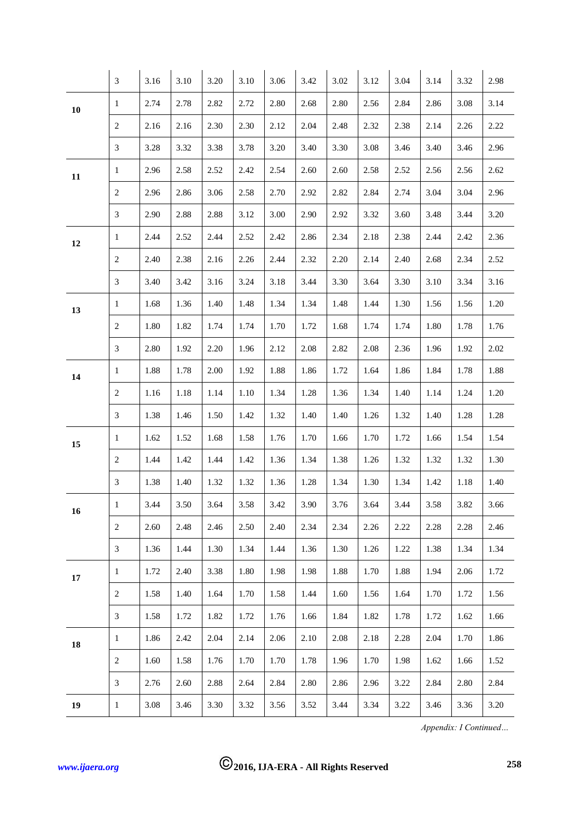|            | $\mathfrak{Z}$   | 3.16 | 3.10 | 3.20 | 3.10 | 3.06 | 3.42 | 3.02     | 3.12 | 3.04 | 3.14 | 3.32 | 2.98 |
|------------|------------------|------|------|------|------|------|------|----------|------|------|------|------|------|
| ${\bf 10}$ | 1                | 2.74 | 2.78 | 2.82 | 2.72 | 2.80 | 2.68 | 2.80     | 2.56 | 2.84 | 2.86 | 3.08 | 3.14 |
|            | $\overline{c}$   | 2.16 | 2.16 | 2.30 | 2.30 | 2.12 | 2.04 | 2.48     | 2.32 | 2.38 | 2.14 | 2.26 | 2.22 |
|            | 3                | 3.28 | 3.32 | 3.38 | 3.78 | 3.20 | 3.40 | 3.30     | 3.08 | 3.46 | 3.40 | 3.46 | 2.96 |
| 11         | 1                | 2.96 | 2.58 | 2.52 | 2.42 | 2.54 | 2.60 | 2.60     | 2.58 | 2.52 | 2.56 | 2.56 | 2.62 |
|            | $\sqrt{2}$       | 2.96 | 2.86 | 3.06 | 2.58 | 2.70 | 2.92 | 2.82     | 2.84 | 2.74 | 3.04 | 3.04 | 2.96 |
|            | 3                | 2.90 | 2.88 | 2.88 | 3.12 | 3.00 | 2.90 | 2.92     | 3.32 | 3.60 | 3.48 | 3.44 | 3.20 |
| 12         | $\mathbf{1}$     | 2.44 | 2.52 | 2.44 | 2.52 | 2.42 | 2.86 | 2.34     | 2.18 | 2.38 | 2.44 | 2.42 | 2.36 |
|            | $\boldsymbol{2}$ | 2.40 | 2.38 | 2.16 | 2.26 | 2.44 | 2.32 | $2.20\,$ | 2.14 | 2.40 | 2.68 | 2.34 | 2.52 |
|            | 3                | 3.40 | 3.42 | 3.16 | 3.24 | 3.18 | 3.44 | 3.30     | 3.64 | 3.30 | 3.10 | 3.34 | 3.16 |
| 13         | $\mathbf{1}$     | 1.68 | 1.36 | 1.40 | 1.48 | 1.34 | 1.34 | 1.48     | 1.44 | 1.30 | 1.56 | 1.56 | 1.20 |
|            | $\sqrt{2}$       | 1.80 | 1.82 | 1.74 | 1.74 | 1.70 | 1.72 | 1.68     | 1.74 | 1.74 | 1.80 | 1.78 | 1.76 |
|            | $\mathfrak{Z}$   | 2.80 | 1.92 | 2.20 | 1.96 | 2.12 | 2.08 | 2.82     | 2.08 | 2.36 | 1.96 | 1.92 | 2.02 |
| 14         | 1                | 1.88 | 1.78 | 2.00 | 1.92 | 1.88 | 1.86 | 1.72     | 1.64 | 1.86 | 1.84 | 1.78 | 1.88 |
|            | $\sqrt{2}$       | 1.16 | 1.18 | 1.14 | 1.10 | 1.34 | 1.28 | 1.36     | 1.34 | 1.40 | 1.14 | 1.24 | 1.20 |
|            | 3                | 1.38 | 1.46 | 1.50 | 1.42 | 1.32 | 1.40 | 1.40     | 1.26 | 1.32 | 1.40 | 1.28 | 1.28 |
| 15         | $\mathbf{1}$     | 1.62 | 1.52 | 1.68 | 1.58 | 1.76 | 1.70 | 1.66     | 1.70 | 1.72 | 1.66 | 1.54 | 1.54 |
|            | 2                | 1.44 | 1.42 | 1.44 | 1.42 | 1.36 | 1.34 | 1.38     | 1.26 | 1.32 | 1.32 | 1.32 | 1.30 |
|            | 3                | 1.38 | 1.40 | 1.32 | 1.32 | 1.36 | 1.28 | 1.34     | 1.30 | 1.34 | 1.42 | 1.18 | 1.40 |
| 16         | 1                | 3.44 | 3.50 | 3.64 | 3.58 | 3.42 | 3.90 | 3.76     | 3.64 | 3.44 | 3.58 | 3.82 | 3.66 |
|            | $\sqrt{2}$       | 2.60 | 2.48 | 2.46 | 2.50 | 2.40 | 2.34 | 2.34     | 2.26 | 2.22 | 2.28 | 2.28 | 2.46 |
|            | 3                | 1.36 | 1.44 | 1.30 | 1.34 | 1.44 | 1.36 | 1.30     | 1.26 | 1.22 | 1.38 | 1.34 | 1.34 |
| $17\,$     | 1                | 1.72 | 2.40 | 3.38 | 1.80 | 1.98 | 1.98 | 1.88     | 1.70 | 1.88 | 1.94 | 2.06 | 1.72 |
|            | $\overline{c}$   | 1.58 | 1.40 | 1.64 | 1.70 | 1.58 | 1.44 | 1.60     | 1.56 | 1.64 | 1.70 | 1.72 | 1.56 |
|            | $\mathfrak{Z}$   | 1.58 | 1.72 | 1.82 | 1.72 | 1.76 | 1.66 | 1.84     | 1.82 | 1.78 | 1.72 | 1.62 | 1.66 |
| 18         | $\mathbf{1}$     | 1.86 | 2.42 | 2.04 | 2.14 | 2.06 | 2.10 | 2.08     | 2.18 | 2.28 | 2.04 | 1.70 | 1.86 |
|            | $\sqrt{2}$       | 1.60 | 1.58 | 1.76 | 1.70 | 1.70 | 1.78 | 1.96     | 1.70 | 1.98 | 1.62 | 1.66 | 1.52 |
|            | 3                | 2.76 | 2.60 | 2.88 | 2.64 | 2.84 | 2.80 | 2.86     | 2.96 | 3.22 | 2.84 | 2.80 | 2.84 |
| 19         | $\mathbf{1}$     | 3.08 | 3.46 | 3.30 | 3.32 | 3.56 | 3.52 | 3.44     | 3.34 | 3.22 | 3.46 | 3.36 | 3.20 |

*Appendix: I Continued…*